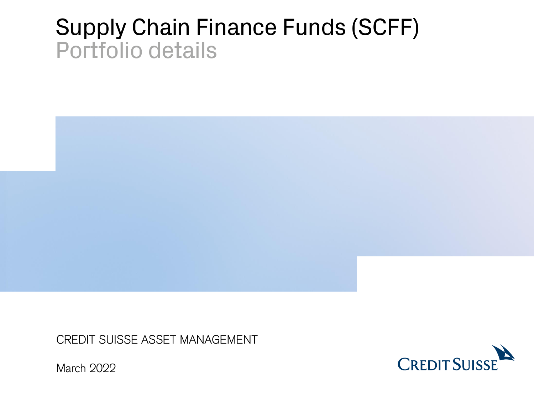# Supply Chain Finance Funds (SCFF) Portfolio details



CREDIT SUISSE ASSET MANAGEMENT



March 2022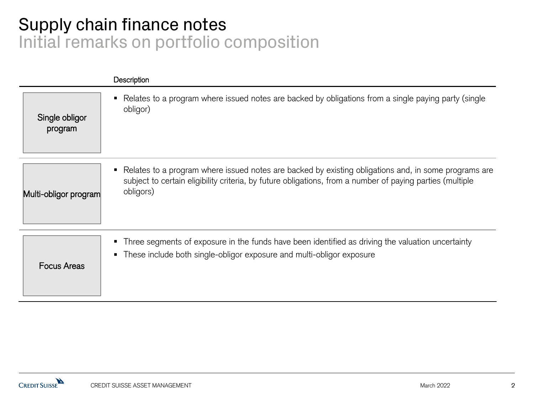## Supply chain finance notes Initial remarks on portfolio composition

|                           | Description                                                                                                                                                                                                                      |
|---------------------------|----------------------------------------------------------------------------------------------------------------------------------------------------------------------------------------------------------------------------------|
| Single obligor<br>program | Relates to a program where issued notes are backed by obligations from a single paying party (single<br>obligor)                                                                                                                 |
| Multi-obligor program     | • Relates to a program where issued notes are backed by existing obligations and, in some programs are<br>subject to certain eligibility criteria, by future obligations, from a number of paying parties (multiple<br>obligors) |
| <b>Focus Areas</b>        | • Three segments of exposure in the funds have been identified as driving the valuation uncertainty<br>• These include both single-obligor exposure and multi-obligor exposure                                                   |

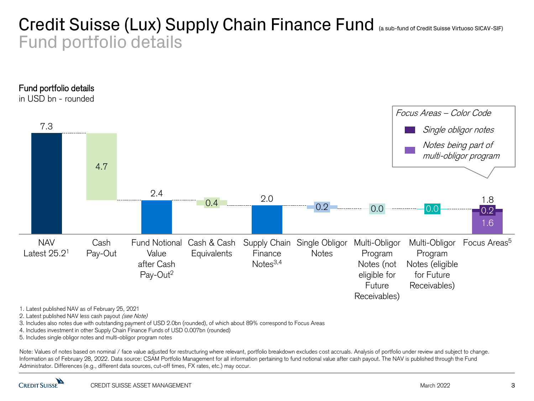### Credit Suisse (Lux) Supply Chain Finance Fund (a sub-fund of Credit Suisse Virtuoso SICAV-SIF) Fund portfolio details



2. Latest published NAV less cash payout (see Note)

3. Includes also notes due with outstanding payment of USD 2.0bn (rounded), of which about 89% correspond to Focus Areas

4. Includes investment in other Supply Chain Finance Funds of USD 0.007bn (rounded)

5. Includes single obligor notes and multi-obligor program notes

1. Latest published NAV as of February 25, 2021<br>
2. Latest published NAV less cash payout *(see Note)*<br>
3. Includes also notes due with outstanding payment of USD 2.0bn (rou<br>
4. Includes investment in other Supply Chain Fi Note: Values of notes based on nominal / face value adjusted for restructuring where relevant, portfolio breakdown excludes cost accruals. Analysis of portfolio under review and subject to change. Information as of February 28, 2022. Data source: CSAM Portfolio Management for all information pertaining to fund notional value after cash payout. The NAV is published through the Fund Administrator. Differences (e.g., different data sources, cut-off times, FX rates, etc.) may occur.

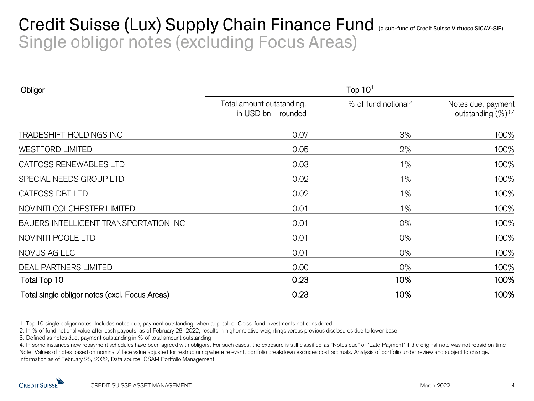### Credit Suisse (Lux) Supply Chain Finance Fund (a sub-fund of Credit Suisse Virtuoso SICAV-SIF) Single obligor notes (excluding Focus Areas)

| Obligor                                        | Top $101$                                        |                                 |                                                      |  |
|------------------------------------------------|--------------------------------------------------|---------------------------------|------------------------------------------------------|--|
|                                                | Total amount outstanding,<br>in USD bn - rounded | % of fund notional <sup>2</sup> | Notes due, payment<br>outstanding (%) <sup>3,4</sup> |  |
| TRADESHIFT HOLDINGS INC                        | 0.07                                             | 3%                              | 100%                                                 |  |
| <b>WESTFORD LIMITED</b>                        | 0.05                                             | 2%                              | 100%                                                 |  |
| CATFOSS RENEWABLES LTD                         | 0.03                                             | $1\%$                           | 100%                                                 |  |
| SPECIAL NEEDS GROUP LTD                        | 0.02                                             | $1\%$                           | 100%                                                 |  |
| CATFOSS DBT LTD                                | 0.02                                             | 1%                              | 100%                                                 |  |
| NOVINITI COLCHESTER LIMITED                    | 0.01                                             | $1\%$                           | 100%                                                 |  |
| BAUERS INTELLIGENT TRANSPORTATION INC          | 0.01                                             | $0\%$                           | 100%                                                 |  |
| NOVINITI POOLE LTD                             | 0.01                                             | 0%                              | 100%                                                 |  |
| NOVUS AG LLC                                   | 0.01                                             | $0\%$                           | 100%                                                 |  |
| DEAL PARTNERS LIMITED                          | 0.00                                             | 0%                              | 100%                                                 |  |
| Total Top 10                                   | 0.23                                             | 10%                             | 100%                                                 |  |
| Total single obligor notes (excl. Focus Areas) | 0.23                                             | 10%                             | 100%                                                 |  |

2. In % of fund notional value after cash payouts, as of February 28, 2022; results in higher relative weightings versus previous disclosures due to lower base

3. Defined as notes due, payment outstanding in % of total amount outstanding

1. Top 10 single obligor notes. Includes notes due, payment outstanding, when applicable. Cross-fund investments not considered<br>
2. In % of fund notional value after cash payouts, as of February 28, 2022; results in higher 4. In some instances new repayment schedules have been agreed with obligors. For such cases, the exposure is still classified as "Notes due" or "Late Payment" if the original note was not repaid on time Note: Values of notes based on nominal / face value adjusted for restructuring where relevant, portfolio breakdown excludes cost accruals. Analysis of portfolio under review and subject to change. Information as of February 28, 2022, Data source: CSAM Portfolio Management

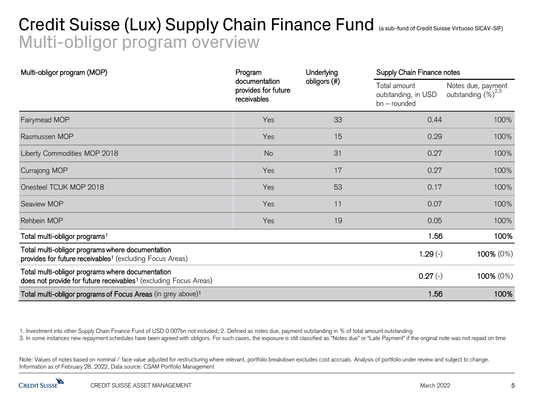## Credit Suisse (Lux) Supply Chain Finance Fund (a sub-fund of Credit Suisse Virtuoso SICAV-SIF) Multi-obligor program overview

| Multi-obligor program (MOP)                                                                                                      | Program                                             | Underlying   |                                                       | Supply Chain Finance notes                           |  |
|----------------------------------------------------------------------------------------------------------------------------------|-----------------------------------------------------|--------------|-------------------------------------------------------|------------------------------------------------------|--|
|                                                                                                                                  | documentation<br>provides for future<br>receivables | obligors (#) | Total amount<br>outstanding, in USD<br>$bn$ – rounded | Notes due, payment<br>outstanding (%) <sup>2,6</sup> |  |
| Fairymead MOP                                                                                                                    | Yes                                                 | 33           | 0.44                                                  | 100%                                                 |  |
| Rasmussen MOP                                                                                                                    | Yes                                                 | 15           | 0.29                                                  | 100%                                                 |  |
| Liberty Commodities MOP 2018                                                                                                     | <b>No</b>                                           | 31           | 0.27                                                  | 100%                                                 |  |
| Currajong MOP                                                                                                                    | Yes                                                 | 17           | 0.27                                                  | 100%                                                 |  |
| Onesteel TCUK MOP 2018                                                                                                           | Yes                                                 | 53           | 0.17                                                  | 100%                                                 |  |
| Seaview MOP                                                                                                                      | Yes                                                 | 11           | 0.07                                                  | 100%                                                 |  |
| Rehbein MOP                                                                                                                      | Yes                                                 | 19           | 0.05                                                  | 100%                                                 |  |
| Total multi-obligor programs <sup>1</sup>                                                                                        |                                                     |              | 1.56                                                  | 100%                                                 |  |
| Total multi-obligor programs where documentation<br>provides for future receivables <sup>1</sup> (excluding Focus Areas)         |                                                     |              | $1.29(-)$                                             | 100% (0%)                                            |  |
| Total multi-obligor programs where documentation<br>does not provide for future receivables <sup>1</sup> (excluding Focus Areas) |                                                     |              | $0.27(-)$                                             | 100% (0%)                                            |  |
| Total multi-obligor programs of Focus Areas (in grey above) <sup>1</sup>                                                         |                                                     |              | 1.56                                                  | 100%                                                 |  |

1. Investment into other Supply Chain Finance Fund of USD 0.007bn not included; 2. Defined as notes due, payment outstanding in % of total amount outstanding

3. In some instances new repayment schedules have been agreed with obligors. For such cases, the exposure is still classified as "Notes due" or "Late Payment" if the original note was not repaid on time

Note: Values of notes based on nominal / face value adjusted for restructuring where relevant, portfolio breakdown excludes cost accruals. Analysis of portfolio under review and subject to change. Information as of February 28, 2022, Data source: CSAM Portfolio Management

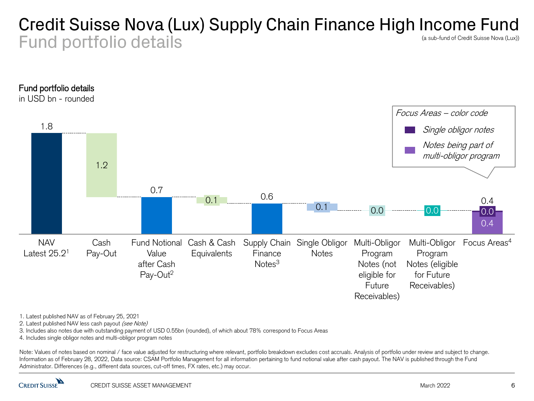#### Credit Suisse Nova (Lux) Supply Chain Finance High Income Fund Fund portfolio details (a sub-fund of Credit Suisse Nova (Lux))



1. Latest published NAV as of February 25, 2021

2. Latest published NAV less cash payout (see Note)

3. Includes also notes due with outstanding payment of USD 0.55bn (rounded), of which about 78% correspond to Focus Areas

4. Includes single obligor notes and multi-obligor program notes

Note: Values of notes based on nominal / face value adjusted for restructuring where relevant, portfolio breakdown excludes cost accruals. Analysis of portfolio under review and subject to change. Information as of February 28, 2022, Data source: CSAM Portfolio Management for all information pertaining to fund notional value after cash payout. The NAV is published through the Fund Administrator. Differences (e.g., different data sources, cut-off times, FX rates, etc.) may occur.

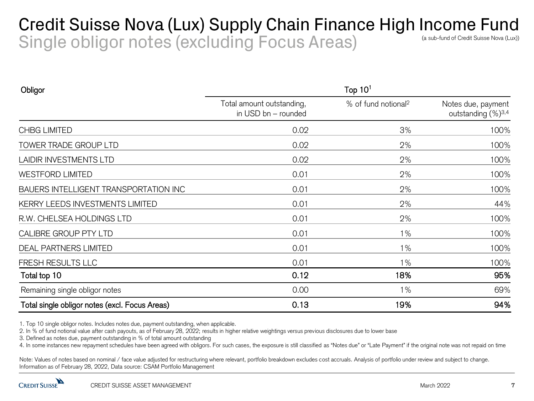### Credit Suisse Nova (Lux) Supply Chain Finance High Income Fund Single obligor notes (excluding Focus Areas) (a sub-fund of Credit Suisse Nova (Lux))

| Obligor                                        | Top $101$                                        |                                 |                                                      |  |
|------------------------------------------------|--------------------------------------------------|---------------------------------|------------------------------------------------------|--|
|                                                | Total amount outstanding,<br>in USD bn - rounded | % of fund notional <sup>2</sup> | Notes due, payment<br>outstanding (%) <sup>3,4</sup> |  |
| <b>CHBG LIMITED</b>                            | 0.02                                             | 3%                              | 100%                                                 |  |
| TOWER TRADE GROUP LTD                          | 0.02                                             | 2%                              | 100%                                                 |  |
| <b>LAIDIR INVESTMENTS LTD</b>                  | 0.02                                             | 2%                              | 100%                                                 |  |
| <b>WESTFORD LIMITED</b>                        | 0.01                                             | 2%                              | 100%                                                 |  |
| BAUERS INTELLIGENT TRANSPORTATION INC          | 0.01                                             | 2%                              | 100%                                                 |  |
| KERRY LEEDS INVESTMENTS LIMITED                | 0.01                                             | 2%                              | 44%                                                  |  |
| R.W. CHELSEA HOLDINGS LTD                      | 0.01                                             | 2%                              | 100%                                                 |  |
| CALIBRE GROUP PTY LTD                          | 0.01                                             | $1\%$                           | 100%                                                 |  |
| <b>DEAL PARTNERS LIMITED</b>                   | 0.01                                             | $1\%$                           | 100%                                                 |  |
| FRESH RESULTS LLC                              | 0.01                                             | 1%                              | 100%                                                 |  |
| Total top 10                                   | 0.12                                             | 18%                             | 95%                                                  |  |
| Remaining single obligor notes                 | 0.00                                             | $1\%$                           | 69%                                                  |  |
| Total single obligor notes (excl. Focus Areas) | 0.13                                             | 19%                             | 94%                                                  |  |

1. Top 10 single obligor notes. Includes notes due, payment outstanding, when applicable.

2. In % of fund notional value after cash payouts, as of February 28, 2022; results in higher relative weightings versus previous disclosures due to lower base

3. Defined as notes due, payment outstanding in % of total amount outstanding

4. In some instances new repayment schedules have been agreed with obligors. For such cases, the exposure is still classified as "Notes due" or "Late Payment" if the original note was not repaid on time

Note: Values of notes based on nominal / face value adjusted for restructuring where relevant, portfolio breakdown excludes cost accruals. Analysis of portfolio under review and subject to change. Information as of February 28, 2022, Data source: CSAM Portfolio Management

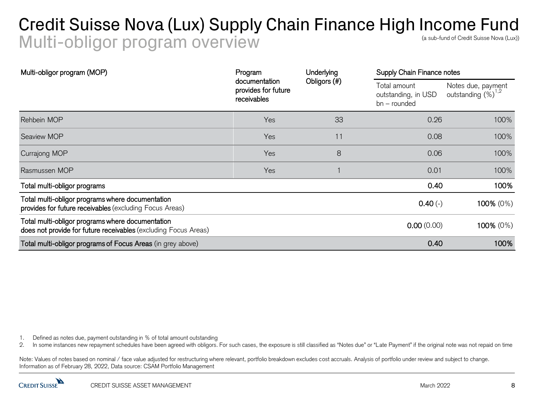### Credit Suisse Nova (Lux) Supply Chain Finance High Income Fund Multi-obligor program overview (a sub-fund of Credit Suisse Nova (Lux))

| Multi-obligor program (MOP)                                                                                         | Program                                             | Underlying   | Supply Chain Finance notes                          |                                        |
|---------------------------------------------------------------------------------------------------------------------|-----------------------------------------------------|--------------|-----------------------------------------------------|----------------------------------------|
|                                                                                                                     | documentation<br>provides for future<br>receivables | Obligors (#) | Total amount<br>outstanding, in USD<br>bn - rounded | Notes due, payment<br>outstanding (%)" |
| Rehbein MOP                                                                                                         | Yes                                                 | 33           | 0.26                                                | 100%                                   |
| Seaview MOP                                                                                                         | Yes                                                 | 11           | 0.08                                                | 100%                                   |
| <b>Currajong MOP</b>                                                                                                | Yes                                                 | 8            | 0.06                                                | 100%                                   |
| Rasmussen MOP                                                                                                       | Yes                                                 |              | 0.01                                                | 100%                                   |
| Total multi-obligor programs                                                                                        |                                                     |              | 0.40                                                | 100%                                   |
| Total multi-obligor programs where documentation<br>provides for future receivables (excluding Focus Areas)         |                                                     |              | $0.40(-)$                                           | 100% (0%)                              |
| Total multi-obligor programs where documentation<br>does not provide for future receivables (excluding Focus Areas) |                                                     |              | 0.00(0.00)                                          | 100% (0%)                              |
| Total multi-obligor programs of Focus Areas (in grey above)                                                         |                                                     |              | 0.40                                                | 100%                                   |

1. Defined as notes due, payment outstanding in % of total amount outstanding

2. In some instances new repayment schedules have been agreed with obligors. For such cases, the exposure is still classified as "Notes due" or "Late Payment" if the original note was not repaid on time

Note: Values of notes based on nominal / face value adjusted for restructuring where relevant, portfolio breakdown excludes cost accruals. Analysis of portfolio under review and subject to change. Information as of February 28, 2022, Data source: CSAM Portfolio Management

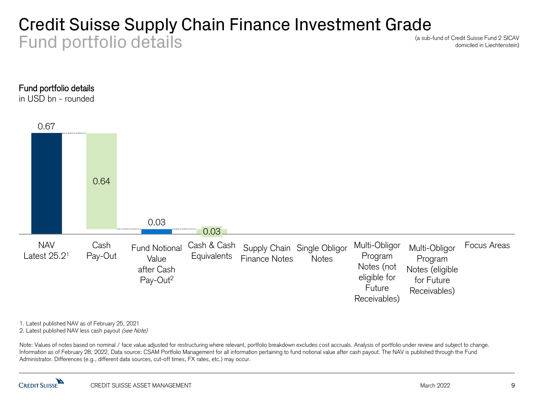### Credit Suisse Supply Chain Finance Investment Grade Fund portfolio details

(a sub-fund of Credit Suisse Fund 2 SICAV domiciled in Liechtenstein)



in USD bn - rounded



1. Latest published NAV as of February 25, 2021

2. Latest published NAV less cash payout (see Note)

Note: Values of notes based on nominal / face value adjusted for restructuring where relevant, portfolio breakdown excludes cost accruals. Analysis of portfolio under review and subject to change. Information as of February 28, 2022, Data source: CSAM Portfolio Management for all information pertaining to fund notional value after cash payout. The NAV is published through the Fund Administrator. Differences (e.g., different data sources, cut-off times, FX rates, etc.) may occur.

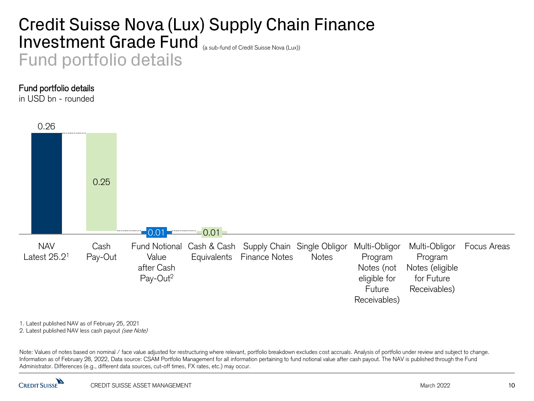### Credit Suisse Nova (Lux) Supply Chain Finance Investment Grade Fund (a sub-fund of Credit Suisse Nova (Lux)) Fund portfolio details

#### Fund portfolio details

in USD bn - rounded



1. Latest published NAV as of February 25, 2021

2. Latest published NAV less cash payout (see Note)

Note: Values of notes based on nominal / face value adjusted for restructuring where relevant, portfolio breakdown excludes cost accruals. Analysis of portfolio under review and subject to change. Information as of February 28, 2022, Data source: CSAM Portfolio Management for all information pertaining to fund notional value after cash payout. The NAV is published through the Fund Administrator. Differences (e.g., different data sources, cut-off times, FX rates, etc.) may occur.